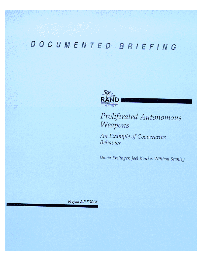# DOCUMENTED BRIEFING



## Proliferated Autonomous Weapons

An Example of Cooperative Behavior

David Frelinger, Joel Kvitky, William Stanley

Project AIR FORCE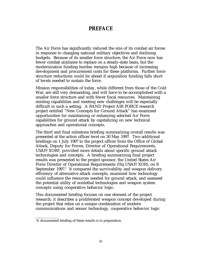#### **PREFACE**

The Air Force has significantly reduced the size of its combat air forces in response to changing national military objectives and declining budgets. Because of its smaller force structure, the Air Force now has fewer combat airplanes to replace on a steady-state basis, but the modernization funding burden remains high because of increasing development and procurement costs for these platforms. Further force structure reductions could lie ahead if acquisition funding falls short of levels needed to sustain the force.

Mission responsibilities of today, while different from those of the Cold War, are still very demanding, and will have to be accomplished with a smaller force structure and with fewer fiscal resources. Maintaining existing capabilities and meeting new challenges will be especially difficult in such a setting. A RAND Project AIR FORCE research project entitled "New Concepts for Ground Attack" has examined opportunities for maintaining or enhancing selected Air Force capabilities for ground attack by capitalizing on new technical approaches and operational concepts.

The third and final milestone briefing summarizing overall results was presented at the action officer level on 30 May 1997. Two additional briefings on 1 July 1997 to the project officer from the Office of Global Attack, Deputy for Forces, Director of Operational Requirements, USAF/XORF, provided more details about specific ground attack technologies and concepts. A briefing summarizing final project results was presented to the project sponsor, the United States Air Force Director of Operational Requirements (Hq USAF/XOR), on 8 September 1997. $^{\rm 1}$  It compared the survivability and weapon delivery efficiency of alternative attack concepts, examined how technology could influence the resources needed for ground attack, and assessed the potential utility of nonlethal technologies and weapon system concepts using cooperative behavior logic.

This documented briefing focuses on one element of the project research; it describes a proliferated weapon concept developed during the project that relies on a unique combination of modern communications and sensor technology, cooperative behavior logic

<sup>&</sup>lt;sup>1</sup>A documented briefing of these results is in preparation.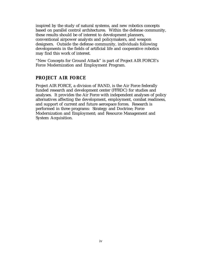inspired by the study of natural systems, and new robotics concepts based on parallel control architectures. Within the defense community, these results should be of interest to development planners, conventional airpower analysts and policymakers, and weapon designers. Outside the defense community, individuals following developments in the fields of artificial life and cooperative robotics may find this work of interest.

"New Concepts for Ground Attack" is part of Project AIR FORCE's Force Modernization and Employment Program.

#### **PROJECT AIR FORCE**

Project AIR FORCE, a division of RAND, is the Air Force federally funded research and development center (FFRDC) for studies and analyses. It provides the Air Force with independent analyses of policy alternatives affecting the development, employment, combat readiness, and support of current and future aerospace forces. Research is performed in three programs: Strategy and Doctrine; Force Modernization and Employment; and Resource Management and System Acquisition.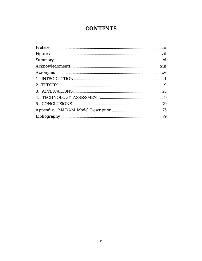## **CONTENTS**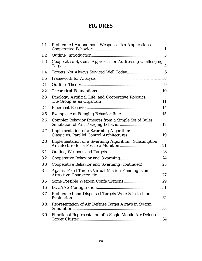## **FIGURES**

| 1.1. | Proliferated Autonomous Weapons: An Application of       |    |
|------|----------------------------------------------------------|----|
| 1.2. |                                                          |    |
| 1.3. | Cooperative Systems Approach for Addressing Challenging  |    |
| 1.4. |                                                          |    |
| 1.5. |                                                          |    |
| 2.1. |                                                          |    |
| 2.2. |                                                          |    |
| 2.3. | Ethology, Artificial Life, and Cooperative Robotics:     |    |
| 2.4. |                                                          |    |
| 2.5. |                                                          |    |
| 2.6. | Complex Behavior Emerges from a Simple Set of Rules:     |    |
| 2.7. | Implementation of a Swarming Algorithm:                  |    |
| 2.8. | Implementation of a Swarming Algorithm: Subsumption      |    |
| 3.1. |                                                          |    |
| 3.2. |                                                          |    |
| 3.3. | Cooperative Behavior and Swarming (continued)25          |    |
| 3.4. | Against Fixed Targets Virtual Mission Planning Is an     |    |
| 3.5. |                                                          |    |
| 3.6. |                                                          |    |
| 3.7. | Proliferated and Dispersed Targets Were Selected for     | 32 |
| 3.8. | Representation of Air Defense Target Arrays in Swarm     | 33 |
| 3.9. | Functional Representation of a Single Mobile Air Defense |    |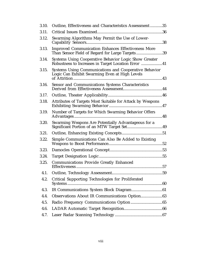| 3.10. | Outline, Effectiveness and Characteristics Assessment35                                                      |
|-------|--------------------------------------------------------------------------------------------------------------|
| 3.11. |                                                                                                              |
| 3.12. | Swarming Algorithms May Permit the Use of Lower-                                                             |
| 3.13. | <b>Improved Communication Enhances Effectiveness More</b><br>Than Sensor Field of Regard for Large Targets39 |
| 3.14. | Systems Using Cooperative Behavior Logic Show Greater<br>Robustness to Increases in Target Location Error 41 |
| 3.15. | Systems Using Communications and Cooperative Behavior<br>Logic Can Exhibit Swarming Even at High Levels      |
| 3.16. | Sensor and Communications Systems Characteristics                                                            |
| 3.17. |                                                                                                              |
| 3.18. | Attributes of Targets Most Suitable for Attack by Weapons                                                    |
| 3.19. | Number of Targets for Which Swarming Behavior Offers                                                         |
| 3.20. | Swarming Weapons Are Potentially Advantageous for a                                                          |
| 3.21. |                                                                                                              |
| 3.22. | Simple Communications Can Also Be Added to Existing                                                          |
| 3.23. |                                                                                                              |
| 3.24. |                                                                                                              |
| 3.25. | <b>Communications Provide Greatly Enhanced</b>                                                               |
| 4.1.  |                                                                                                              |
| 4.2.  | <b>Critical Supporting Technologies for Proliferated</b>                                                     |
| 4.3.  |                                                                                                              |
| 4.4.  |                                                                                                              |
| 4.5.  |                                                                                                              |
| 4.6.  |                                                                                                              |
| 4.7.  |                                                                                                              |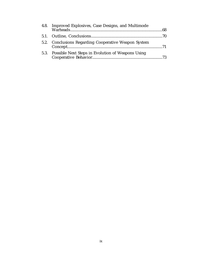| 4.8. Improved Explosives, Case Designs, and Multimode  |  |
|--------------------------------------------------------|--|
|                                                        |  |
| 5.2. Conclusions Regarding Cooperative Weapon System   |  |
| 5.3. Possible Next Steps in Evolution of Weapons Using |  |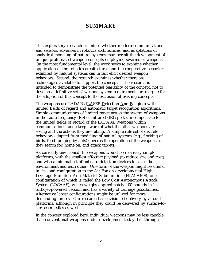#### **SUMMARY**

This exploratory research examines whether modern communications and sensors, advances in robotics architectures, and adaptations of analytical modeling of natural systems may permit the development of unique proliferated weapon concepts employing swarms of weapons. On the most fundamental level, the work seeks to examine whether application of the robotics architectures and the cooperative behavior exhibited by natural systems can in fact elicit desired weapon behaviors. Second, the research examines whether there are technologies available to support the concept. The research is intended to demonstrate the potential feasibility of the concept, not to develop a definitive set of weapon system requirements or to argue for the adoption of this concept to the exclusion of existing concepts.

The weapons use LADARs (LASER Detection And Ranging) with limited fields of regard and automatic target recognition algorithms. Simple communications of limited range across the swarm of weapons in the radio frequency (RF) or infrared (IR) spectrum compensate for the limited fields of regard of the LADARs. Weapons within communications range keep aware of what the other weapons are seeing and the actions they are taking. A simple rule set of discrete behaviors adapted from modeling of natural systems (e.g., flocking of birds, food foraging by ants) governs the operation of the weapons as they search for, home on, and attack targets.

As currently envisioned, the weapons would be relatively simple platforms, with the smallest effective payload (to reduce size and cost) and with a minimal set of onboard detection devices to sense the environment and each other. One form of the weapon might be similar in size and configuration to the Air Force's developmental High Leverage Munition–Anti-Materiel Submunition (HLM-AMS), one configuration of which is called the Low Cost Autonomous Attack System (LOCAAS), which weighs approximately 100 pounds in its turbojet-powered version and has a variety of carriage possibilities. Alternative larger configurations might be utilized for more demanding targets. Our research has envisioned delivery by aircraft platforms, although in principle they could be delivered by surface-tosurface missiles as well.

In the concept explored here, individual weapons may be less capable than conventional weapons under development today, but through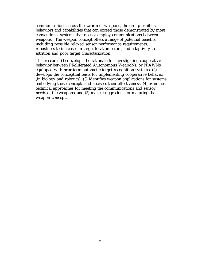communications across the swarm of weapons, the group exhibits behaviors and capabilities that can exceed those demonstrated by more conventional systems that do not employ communications between weapons. The weapon concept offers a range of potential benefits, including possible relaxed sensor performance requirements, robustness to increases in target location errors, and adaptivity to attrition and poor target characterization.

This research (1) develops the rationale for investigating cooperative behavior between PRoliferated Autonomous WeapoNs, or PRAWNs, equipped with near-term automatic target recognition systems, (2) develops the conceptual basis for implementing cooperative behavior (in biology and robotics), (3) identifies weapon applications for systems embodying these concepts and assesses their effectiveness, (4) examines technical approaches for meeting the communications and sensor needs of the weapons, and (5) makes suggestions for maturing the weapon concept.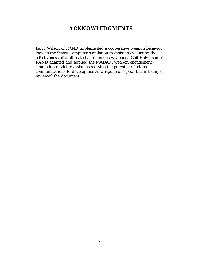#### **ACKNOWLEDGMENTS**

Barry Wilson of RAND implemented a cooperative weapon behavior logic in the *Swarm* computer simulation to assist in evaluating the effectiveness of proliferated autonomous weapons. Gail Halverson of RAND adapted and applied the MADAM weapon engagement simulation model to assist in assessing the potential of adding communications to developmental weapon concepts. Eiichi Kamiya reviewed the document.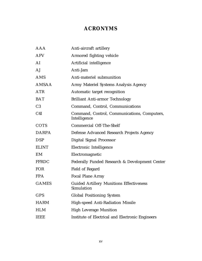## **ACRONYMS**

| AAA            | Anti-aircraft artillery                                       |
|----------------|---------------------------------------------------------------|
| <b>AFV</b>     | Armored fighting vehicle                                      |
| AI             | Artificial intelligence                                       |
| AJ             | Anti-Jam                                                      |
| AMS            | Anti-materiel submunition                                     |
| AMSAA          | Army Materiel Systems Analysis Agency                         |
| <b>ATR</b>     | Automatic target recognition                                  |
| <b>BAT</b>     | <b>Brilliant Anti-armor Technology</b>                        |
| C <sub>3</sub> | Command, Control, Communications                              |
| C4I            | Command, Control, Communications, Computers,<br>Intelligence  |
| <b>COTS</b>    | <b>Commercial Off-The-Shelf</b>                               |
| <b>DARPA</b>   | Defense Advanced Research Projects Agency                     |
| <b>DSP</b>     | Digital Signal Processor                                      |
| <b>ELINT</b>   | Electronic Intelligence                                       |
| EM             | Electromagnetic                                               |
| <b>FFRDC</b>   | Federally Funded Research & Development Center                |
| <b>FOR</b>     | Field of Regard                                               |
| <b>FPA</b>     | <b>Focal Plane Array</b>                                      |
| <b>GAMES</b>   | <b>Guided Artillery Munitions Effectiveness</b><br>Simulation |
| GPS            | <b>Global Positioning System</b>                              |
| <b>HARM</b>    | High-speed Anti-Radiation Missile                             |
| <b>HLM</b>     | <b>High Leverage Munition</b>                                 |
| <b>IEEE</b>    | Institute of Electrical and Electronic Engineers              |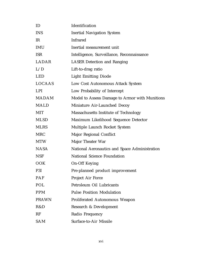| ID           | Identification                                 |
|--------------|------------------------------------------------|
| <b>INS</b>   | <b>Inertial Navigation System</b>              |
| IR           | <b>Infrared</b>                                |
| <b>IMU</b>   | Inertial measurement unit                      |
| <b>ISR</b>   | Intelligence, Surveillance, Reconnaissance     |
| LADAR        | <b>LASER Detection and Ranging</b>             |
| L/D          | Lift-to-drag ratio                             |
| <b>LED</b>   | <b>Light Emitting Diode</b>                    |
| LOCAAS       | Low Cost Autonomous Attack System              |
| <b>LPI</b>   | Low Probability of Intercept                   |
| <b>MADAM</b> | Model to Assess Damage to Armor with Munitions |
| <b>MALD</b>  | Miniature Air-Launched Decoy                   |
| <b>MIT</b>   | Massachusetts Institute of Technology          |
| <b>MLSD</b>  | Maximum Likelihood Sequence Detector           |
| <b>MLRS</b>  | Multiple Launch Rocket System                  |
| <b>MRC</b>   | Major Regional Conflict                        |
| <b>MTW</b>   | Major Theater War                              |
| <b>NASA</b>  | National Aeronautics and Space Administration  |
| <b>NSF</b>   | National Science Foundation                    |
| <b>OOK</b>   | <b>On-Off Keying</b>                           |
| P3I          | Pre-planned product improvement                |
| PAF          | Project Air Force                              |
| POL          | Petroleum Oil Lubricants                       |
| <b>PPM</b>   | <b>Pulse Position Modulation</b>               |
| <b>PRAWN</b> | Proliferated Autonomous Weapon                 |
| R&D          | Research & Development                         |
| <b>RF</b>    | Radio Frequency                                |
| SAM          | Surface-to-Air Missile                         |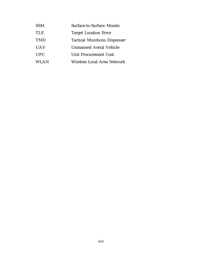| <b>SSM</b>  | Surface-to-Surface Missile          |
|-------------|-------------------------------------|
| <b>TLE</b>  | <b>Target Location Error</b>        |
| <b>TMD</b>  | <b>Tactical Munitions Dispenser</b> |
| <b>UAV</b>  | Unmanned Aerial Vehicle             |
| <b>UPC</b>  | Unit Procurement Cost               |
| <b>WLAN</b> | Wireless Local Area Network         |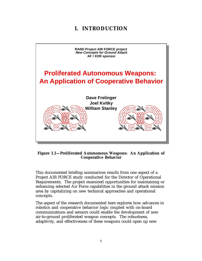## **1. INTRODUCTION**



#### **Figure 1.1—Proliferated Autonomous Weapons: An Application of Cooperative Behavior**

This documented briefing summarizes results from one aspect of a Project AIR FORCE study conducted for the Director of Operational Requirements. The project examined opportunities for maintaining or enhancing selected Air Force capabilities in the ground attack mission area by capitalizing on new technical approaches and operational concepts.

The aspect of the research documented here explores how advances in robotics and cooperative behavior logic coupled with on-board communications and sensors could enable the development of new air-to-ground proliferated weapon concepts. The robustness, adaptivity, and effectiveness of these weapons could open up new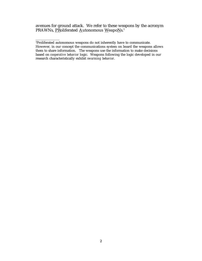avenues for ground attack. We refer to these weapons by the acronym PRAWNs, <u>PR</u>oliferated <u>A</u>utonomous <u>W</u>eapo<u>N</u>s.<sup>1</sup>

<sup>1</sup> Proliferated autonomous weapons do not inherently have to communicate. However, in our concept the communications system on board the weapons allows them to share information. The weapons use the information to make decisions based on *cooperative behavior* logic. Weapons following the logic developed in our research characteristically exhibit *swarming behavior*.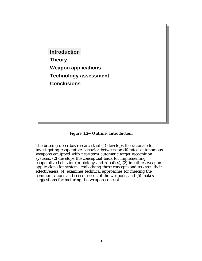

**Figure 1.2—Outline, Introduction**

The briefing describes research that (1) develops the rationale for investigating cooperative behavior between proliferated autonomous weapons equipped with near-term automatic target recognition systems, (2) develops the conceptual basis for implementing cooperative behavior (in biology and robotics), (3) identifies weapon applications for systems embodying these concepts and assesses their effectiveness, (4) examines technical approaches for meeting the communications and sensor needs of the weapons, and (5) makes suggestions for maturing the weapon concept.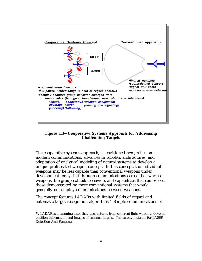

**Figure 1.3—Cooperative Systems Approach for Addressing Challenging Targets**

The cooperative systems approach, as envisioned here, relies on modern communications, advances in robotics architectures, and adaptation of analytical modeling of natural systems to develop a unique proliferated weapon concept. In this concept, the individual weapons may be less capable than conventional weapons under development today, but through communications across the swarm of weapons, the group exhibits behaviors and capabilities that can exceed those demonstrated by more conventional systems that would generally not employ communications between weapons.

The concept features LADARs with limited fields of regard and automatic target recognition algorithms.<sup>2</sup> Simple communications of

 $\overline{\phantom{a}}$  , where  $\overline{\phantom{a}}$ 

 ${}^{2}\text{A}$  LADAR is a scanning laser that uses returns from coherent light waves to develop position information and images of scanned targets. The acronym stands for LASER Detection And Ranging.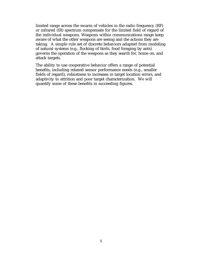limited range across the swarm of vehicles in the radio frequency (RF) or infrared (IR) spectrum compensate for the limited field of regard of the individual weapons. Weapons within communications range keep aware of what the other weapons are seeing and the actions they are taking. A simple rule set of discrete behaviors adapted from modeling of natural systems (e.g., flocking of birds, food foraging by ants) governs the operation of the weapons as they search for, home on, and attack targets.

The ability to use cooperative behavior offers a range of potential benefits, including relaxed sensor performance needs (e.g., smaller fields of regard), robustness to increases in target location errors, and adaptivity to attrition and poor target characterization. We will quantify some of these benefits in succeeding figures.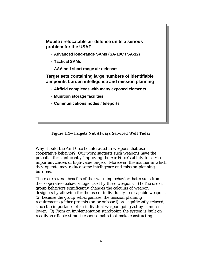

**Figure 1.4—Targets Not Always Serviced Well Today**

Why should the Air Force be interested in weapons that use cooperative behavior? Our work suggests such weapons have the potential for significantly improving the Air Force's ability to service important classes of high-value targets. Moreover, the manner in which they operate may reduce some intelligence and mission planning burdens.

There are several benefits of the swarming behavior that results from the cooperative behavior logic used by these weapons. (1) The use of group behaviors significantly changes the calculus of weapon designers by allowing for the use of individually less-capable weapons. (2) Because the group self-organizes, the mission planning requirements (either pre-mission or onboard) are significantly relaxed, since the importance of an individual weapon going astray is much lower. (3) From an implementation standpoint, the system is built on readily verifiable stimuli-response pairs that make constructing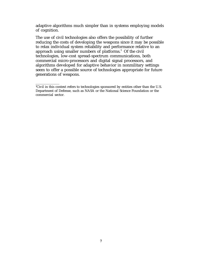adaptive algorithms much simpler than in systems employing models of cognition.

The use of civil technologies also offers the possibility of further reducing the costs of developing the weapons since it may be possible to relax individual system reliability and performance relative to an approach using smaller numbers of platforms. $^{\rm 3}$  Of the civil technologies, low-cost spread-spectrum communications, both commercial micro-processors and digital signal processors, and algorithms developed for adaptive behavior in nonmilitary settings seem to offer a possible source of technologies appropriate for future generations of weapons.

 ${}^{3}$ Civil in this context refers to technologies sponsored by entities other than the U.S. Department of Defense, such as NASA or the National Science Foundation or the commercial sector.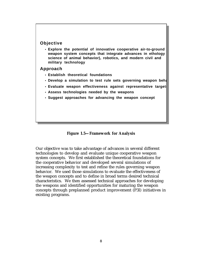#### **Objective**

• **Explore the potential of innovative cooperative air-to-ground weapon system concepts that integrate advances in ethology science of animal behavior), robotics, and modern civil and military technology**

#### **Approach**

- **Establish theoretical foundations**
- **Develop a simulation to test rule sets governing weapon beha**
- Evaluate weapon effectiveness against representative target
- **Assess technologies needed by the weapons**
- **Suggest approaches for advancing the weapon concept**

**Figure 1.5—Framework for Analysis**

Our objective was to take advantage of advances in several different technologies to develop and evaluate unique cooperative weapon system concepts. We first established the theoretical foundations for the cooperative behavior and developed several simulations of increasing complexity to test and refine the rules governing weapon behavior. We used those simulations to evaluate the effectiveness of the weapon concepts and to define in broad terms desired technical characteristics. We then assessed technical approaches for developing the weapons and identified opportunities for maturing the weapon concepts through preplanned product improvement (P3I) initiatives in existing programs.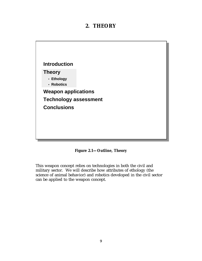### **2. THEORY**



**Figure 2.1—Outline, Theory**

This weapon concept relies on technologies in both the civil and military sector. We will describe how attributes of ethology (the science of animal behavior) and robotics developed in the civil sector can be applied to the weapon concept.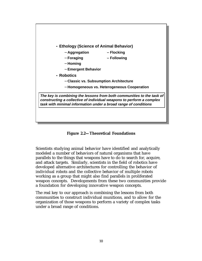

**Figure 2.2—Theoretical Foundations**

Scientists studying animal behavior have identified and analytically modeled a number of behaviors of natural organisms that have parallels to the things that weapons have to do to search for, acquire, and attack targets. Similarly, scientists in the field of robotics have developed alternative architectures for controlling the behavior of individual robots and the collective behavior of multiple robots working as a group that might also find parallels in proliferated weapon concepts. Developments from these two communities provide a foundation for developing innovative weapon concepts.

The real key to our approach is combining the lessons from both communities to construct individual munitions, and to allow for the organization of those weapons to perform a variety of complex tasks under a broad range of conditions.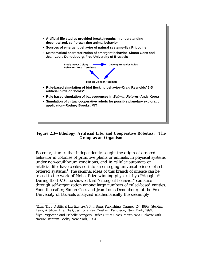

**Figure 2.3—Ethology, Artificial Life, and Cooperative Robotics: The Group as an Organism**

Recently, studies that independently sought the origin of ordered behavior in colonies of primitive plants or animals, in physical systems under non-equilibrium conditions, and in cellular automata or artificial life, have coalesced into an emerging universal science of selfordered systems.<sup>4</sup> The seminal ideas of this branch of science can be traced to the work of Nobel-Prize winning physicist Ilya Prigogine.<sup>5</sup> During the 1970s, he showed that "emergent behavior" can arise through self-organization among large numbers of ruled-based entities. Soon thereafter, Simon Goss and Jean-Louis Denoubourg at the Free University of Brussels analyzed mathematically the seemingly

<sup>4</sup> Ellen Thro, *Artificial Life Explorer's Kit*, Sams Publishing, Carmel, IN, 1993; Stephen Levy, *Artificial Life: The Quest for a New Creation*, Pantheon, New York, 1992. 5 Ilya Prigogine and Isabelle Stengers, *Order Out of Chaos: Man's New Dialogue with Nature*, Bantam Books, New York, 1984.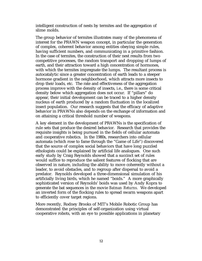intelligent construction of nests by termites and the aggregation of slime molds.

The group behavior of termites illustrates many of the phenomena of interest for the PRAWN weapon concept, in particular the generation of complex, coherent behavior among entities obeying simple rules, having sufficient numbers, and communicating in a primitive fashion. In the case of termites, the construction of their nest results from two competitive processes, the random transport and dropping of lumps of earth, and their attraction toward a high concentration of hormones, with which the termites impregnate the lumps. The resultant process is autocatalytic since a greater concentration of earth leads to a steeper hormone gradient in the neighborhood, which attracts more insects to drop their loads, etc. The rate and effectiveness of the aggregation process improve with the density of insects, i.e., there is some critical density below which aggregation does not occur. If "pillars" do appear, their initial development can be traced to a higher density nucleus of earth produced by a random fluctuation in the localized insect population. Our research suggests that the efficacy of adaptive behavior in PRAWNs also depends on the exchange of information and on attaining a critical threshold number of weapons.

A key element in the development of PRAWNs is the specification of rule sets that produce the desired behavior. Research that provides the requisite insights is being pursued in the fields of cellular automata and cooperative robotics. In the 1980s, researchers into cellular automata (which rose to fame through the "Game of Life") discovered that the source of complex social behaviors that have long puzzled ethologists could be explained by artificial life analogues. One such early study by Craig Reynolds showed that a succinct set of rules would suffice to reproduce the salient features of flocking that are observed in nature, including the ability to move coherently without a leader, to avoid obstacles, and to regroup after dispersal to avoid a predator. Reynolds developed a three-dimensional simulation of his artificially living birds, which he named "boids." A more graphically sophisticated version of Reynolds' boids was used by Andy Kopra to generate the bat sequences in the movie *Batman Returns*. We developed an inverted form of the flocking rules to spread swarm weapons apart to efficiently cover target regions.

More recently, Rodney Brooks of MIT's Mobile Robotic Group has demonstrated the principles of self-organization using virtual cooperative robots, with an eye to possible applications in planetary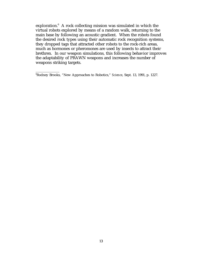exploration. $^{\rm 6}$  A rock collecting mission was simulated in which the virtual robots explored by means of a random walk, returning to the main base by following an acoustic gradient. When the robots found the desired rock types using their automatic rock recognition systems, they dropped tags that attracted other robots to the rock-rich areas, much as hormones or pheromones are used by insects to attract their brethren. In our weapon simulations, this following behavior improves the adaptability of PRAWN weapons and increases the number of weapons striking targets.

<sup>6</sup> Rodney Brooks, "New Approaches to Robotics," *Science*, Sept. 13, 1991, p. 1227.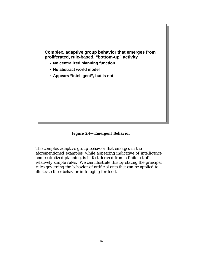

**Figure 2.4—Emergent Behavior**

The complex adaptive group behavior that emerges in the aforementioned examples, while appearing indicative of intelligence and centralized planning, is in fact derived from a finite set of relatively simple rules. We can illustrate this by stating the principal rules governing the behavior of artificial ants that can be applied to illustrate their behavior in foraging for food.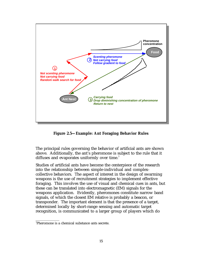

**Figure 2.5—Example: Ant Foraging Behavior Rules**

The principal rules governing the behavior of artificial ants are shown above. Additionally, the ant's pheromone is subject to the rule that it diffuses and evaporates uniformly over time.<sup>7</sup>

Studies of artificial ants have become the centerpiece of the research into the relationship between simple-individual and complexcollective behaviors. The aspect of interest in the design of swarming weapons is the use of recruitment strategies to implement effective foraging. This involves the use of visual and chemical cues in ants, but these can be translated into electromagnetic (EM) signals for the weapons application. Evidently, pheromones constitute narrow band signals, of which the closest EM relative is probably a beacon, or transponder. The important element is that the presence of a target, determined locally by short-range sensing and automatic target recognition, is communicated to a larger group of players which do

<sup>7</sup> Pheromone is a chemical substance ants secrete.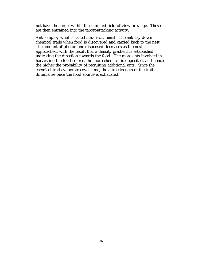not have the target within their limited field-of-view or range. These are then entrained into the target-attacking activity.

Ants employ what is called *mass recruitment*. The ants lay down chemical trails when food is discovered and carried back to the nest. The amount of pheromone dispensed decreases as the nest is approached, with the result that a density gradient is established indicating the direction towards the food. The more ants involved in harvesting the food source, the more chemical is deposited, and hence the higher the probability of recruiting additional ants. Since the chemical trail evaporates over time, the attractiveness of the trail diminishes once the food source is exhausted.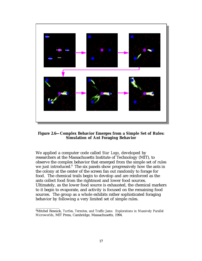

**Figure 2.6—Complex Behavior Emerges from a Simple Set of Rules: Simulation of Ant Foraging Behavior**

We applied a computer code called *Star Logo*, developed by researchers at the Massachusetts Institute of Technology (MIT), to observe the complex behavior that emerged from the simple set of rules we just introduced.<sup>8</sup> The six panels show progressively how the ants in the colony at the center of the screen fan out randomly to forage for food. The chemical trails begin to develop and are reinforced as the ants collect food from the rightmost and lower food sources. Ultimately, as the lower food source is exhausted, the chemical markers to it begin to evaporate, and activity is focused on the remaining food sources. The group as a whole exhibits rather sophisticated foraging behavior by following a very limited set of simple rules.

<sup>8</sup> Mitchel Resnick, *Turtles, Termites, and Traffic Jams: Explorations in Massively Parallel Microworlds*, MIT Press, Cambridge, Massachusetts, 1994.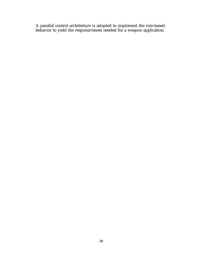A parallel control architecture is adopted to implement the rule-based behavior to yield the responsiveness needed for a weapon application.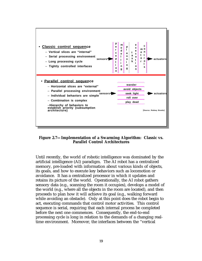

**Figure 2.7—Implementation of a Swarming Algorithm: Classic vs. Parallel Control Architectures**

Until recently, the world of robotic intelligence was dominated by the artificial intelligence (AI) paradigm. The AI robot has a centralized memory, pre-loaded with information about various kinds of objects, its goals, and how to execute key behaviors such as locomotion or avoidance. It has a centralized processor in which it updates and retains its picture of the world. Operationally, the AI robot gathers sensory data (e.g., scanning the room it occupies), develops a model of the world (e.g., where all the objects in the room are located), and then proceeds to plan how it will achieve its goal (e.g., walking forward while avoiding an obstacle). Only at this point does the robot begin to act, executing commands that control motor activities. This control sequence is serial, requiring that each internal process be completed before the next one commences. Consequently, the end-to-end processing cycle is long in relation to the demands of a changing realtime environment. Moreover, the interfaces between the "vertical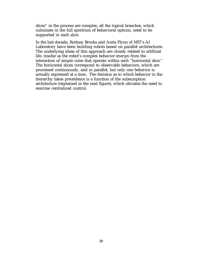slices" in the process are complex; all the logical branches, which culminate in the full spectrum of behavioral options, need to be supported in each slice.

In the last decade, Rodney Brooks and Anita Flynn of MIT's AI Laboratory have been building robots based on parallel architectures. The underlying ideas of this approach are closely related to artificial life, insofar as the robot's complex behavior *emerges* from the interaction of simple rules that operate within each "horizontal slice." The horizontal slices correspond to observable behaviors, which are processed continuously, and in parallel, but only one behavior is actually expressed at a time. The decision as to which behavior in the hierarchy takes precedence is a function of the subsumption architecture (explained in the next figure), which obviates the need to exercise centralized control.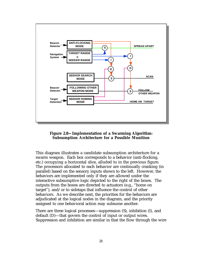



This diagram illustrates a candidate subsumption architecture for a swarm weapon. Each box corresponds to a behavior (anti-flocking, etc.) occupying a horizontal slice, alluded to in the previous figure. The processors allocated to each behavior are continually cranking (in parallel) based on the sensory inputs shown to the left. However, the behaviors are implemented only if they are allowed under the interactive subsumptive logic depicted to the right of the boxes. The outputs from the boxes are directed to actuators (e.g., "home on target"), and/or to sidetaps that influence the control of other behaviors. As we describe next, the priorities for the behaviors are adjudicated at the logical nodes in the diagram, and the priority assigned to one behavioral action may subsume another.

There are three logical processes—suppression (S), inhibition (I), and default (D)—that govern the control of input or output wires. Suppression and inhibition are similar in that the flow through the wire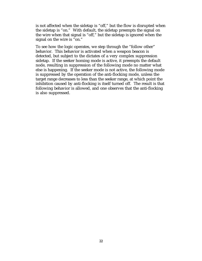is not affected when the sidetap is "off," but the flow is disrupted when the sidetap is "on." With default, the sidetap preempts the signal on the wire when that signal is "off," but the sidetap is ignored when the signal on the wire is "on."

To see how the logic operates, we step through the "follow other" behavior. This behavior is activated when a weapon beacon is detected, but subject to the dictates of a very complex suppression sidetap. If the seeker homing mode is active, it preempts the default node, resulting in suppression of the following mode no matter what else is happening. If the seeker mode is not active, the following mode is suppressed by the operation of the anti-flocking mode, unless the target range decreases to less than the seeker range, at which point the inhibition caused by anti-flocking is itself turned off. The result is that following behavior is allowed, and one observes that the anti-flocking is also suppressed.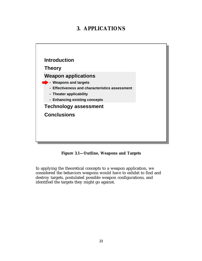## **3. APPLICATIONS**



**Figure 3.1—Outline, Weapons and Targets**

In applying the theoretical concepts to a weapon application, we considered the behaviors weapons would have to exhibit to find and destroy targets, postulated possible weapon configurations, and identified the targets they might go against.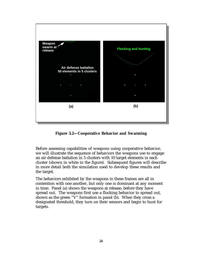

**Figure 3.2—Cooperative Behavior and Swarming**

Before assessing capabilities of weapons using cooperative behavior, we will illustrate the sequence of behaviors the weapons use to engage an air defense battalion in 5 clusters with 10 target elements in each cluster (shown in white in the figure). Subsequent figures will describe in more detail both the simulation used to develop these results and the target.

The behaviors exhibited by the weapons in these frames are all in contention with one another, but only one is dominant at any moment in time. Panel (a) shows the weapons at release, before they have spread out. The weapons first use a flocking behavior to spread out, shown as the green "V" formation in panel (b). When they cross a designated threshold, they turn on their sensors and begin to hunt for targets.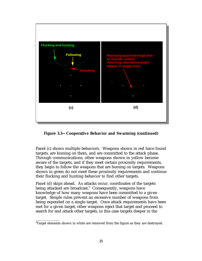

**Figure 3.3—Cooperative Behavior and Swarming (continued)**

Panel (c) shows multiple behaviors. Weapons shown in red have found targets, are homing on them, and are committed to the attack phase. Through communications, other weapons shown in yellow become aware of the targets, and if they meet certain proximity requirements, they begin to follow the weapons that are homing on targets. Weapons shown in green do not meet these proximity requirements and continue their flocking and hunting behavior to find other targets.

Panel (d) skips ahead. As attacks occur, coordinates of the targets being attacked are broadcast. $^{\textrm{\textregistered}}$  Consequently, weapons have knowledge of how many weapons have been committed to a given target. Simple rules prevent an excessive number of weapons from being expended on a single target. Once attack requirements have been met for a given target, other weapons reject that target and proceed to search for and attack other targets, in this case targets deeper in the

 $^{\circ}$ Target elements shown in white are removed from the figure as they are destroyed.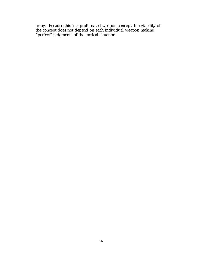array. Because this is a proliferated weapon concept, the viability of the concept does not depend on each individual weapon making "perfect" judgments of the tactical situation.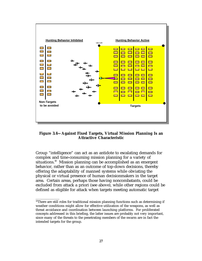

**Figure 3.4—Against Fixed Targets, Virtual Mission Planning Is an Attractive Characteristic**

Group "intelligence" can act as an antidote to escalating demands for complex and time-consuming mission planning for a variety of situations.<sup>10</sup> Mission planning can be accomplished as an emergent behavior, rather than as an outcome of top-down decisions, thereby offering the adaptability of manned systems while obviating the physical or virtual presence of human decisionmakers in the target area. Certain areas, perhaps those having noncombatants, could be excluded from attack a priori (see above), while other regions could be defined as eligible for attack when targets meeting automatic target

 $10$ There are still roles for traditional mission planning functions such as determining if weather conditions might allow for effective utilization of the weapons, as well as threat avoidance and coordination between launching platforms. For proliferated concepts addressed in this briefing, the latter issues are probably not very important, since many of the threats to the penetrating members of the swarm are in fact the intended targets for the group.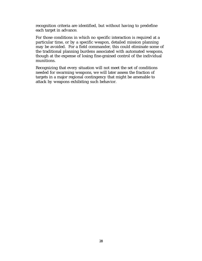recognition criteria are identified, but without having to predefine each target in advance.

For those conditions in which no specific interaction is required at a particular time, or by a specific weapon, detailed mission planning may be avoided. For a field commander, this could eliminate some of the traditional planning burdens associated with automated weapons, though at the expense of losing fine-grained control of the individual munitions.

Recognizing that every situation will not meet the set of conditions needed for swarming weapons, we will later assess the fraction of targets in a major regional contingency that might be amenable to attack by weapons exhibiting such behavior.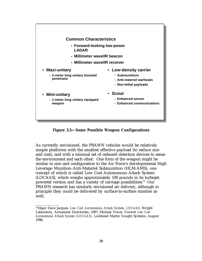

**Figure 3.5—Some Possible Weapon Configurations**

As currently envisioned, the PRAWN vehicles would be relatively simple platforms with the smallest effective payload (to reduce size and cost), and with a minimal set of onboard detection devices to sense the environment and each other. One form of the weapon might be similar in size and configuration to the Air Force's developmental High Leverage Munition–Anti-Materiel Submunition (HLM-AMS), one concept of which is called Low Cost Autonomous Attack System (LOCAAS), which weighs approximately 100 pounds in its turbojetpowered version and has a variety of carriage possibilities.<sup>11</sup> Our PRAWN research has similarly envisioned air delivery, although in principle they could be delivered by surface-to-surface missiles as well.

<sup>11</sup>Major Dave Jacques, *Low Cost Autonomous Attack System, LOCAAS*, Wright Laboratory, Armament Directorate, 1997; Michael Tower, *Powered Low Cost Autonomous Attack System (LOCAAS),* Lockheed Martin Vought Systems, August 1996.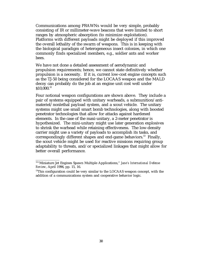Communications among PRAWNs would be very simple, probably consisting of IR or millimeter-wave beacons that were limited to short ranges by atmospheric absorption (to minimize exploitation). Platforms with different payloads might be deployed if this improved the overall lethality of the swarm of weapons. This is in keeping with the biological paradigm of heterogeneous insect colonies, in which one commonly finds specialized members, e.g., soldier ants and worker bees.

We have not done a detailed assessment of aerodynamic and propulsion requirements; hence, we cannot state definitively whether propulsion is a necessity. If it is, current low-cost engine concepts such as the TJ-50 being considered for the LOCAAS weapon and the MALD decoy can probably do the job at an engine unit cost well under \$10,000.<sup>12</sup>

Four notional weapon configurations are shown above. They include a pair of systems equipped with unitary warheads, a submunition/antimateriel/nonlethal payload system, and a scout vehicle. The unitary systems might use small smart bomb technologies, along with boosted penetrator technologies that allow for attacks against hardened elements. In the case of the maxi-unitary, a 2-meter penetrator is hypothesized. The mini-unitary might use later generation explosives to shrink the warhead while retaining effectiveness. The low-density carrier might use a variety of payloads to accomplish its tasks, and correspondingly different shapes and end-game behaviors.<sup>13</sup> Finally, the scout vehicle might be used for reactive missions requiring group adaptability to threats, and/or specialized linkages that might allow for better overall performance.

<sup>12&</sup>quot;Miniature Jet Engines Spawn Multiple Applications," *Jane's International Defense Review*, April 1996, pp. 15, 16.

<sup>&</sup>lt;sup>13</sup>This configuration could be very similar to the LOCAAS weapon concept, with the addition of a communications system and cooperative behavior logic.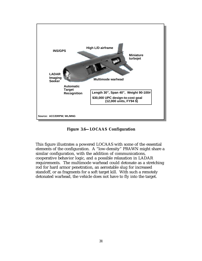

**Figure 3.6—LOCAAS Configuration**

This figure illustrates a powered LOCAAS with some of the essential elements of the configuration. A "low-density" PRAWN might share a similar configuration, with the addition of communications, cooperative behavior logic, and a possible relaxation in LADAR requirements. The multimode warhead could detonate as a stretching rod for hard armor penetration, an aerostable slug for increased standoff, or as fragments for a soft target kill. With such a remotely detonated warhead, the vehicle does not have to fly into the target.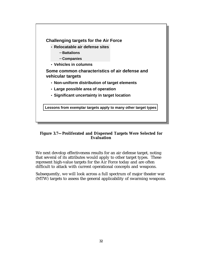

# **Figure 3.7—Proliferated and Dispersed Targets Were Selected for Evaluation**

We next develop effectiveness results for an air defense target, noting that several of its attributes would apply to other target types. These represent high-value targets for the Air Force today and are often difficult to attack with current operational concepts and weapons.

Subsequently, we will look across a full spectrum of major theater war (MTW) targets to assess the general applicability of swarming weapons.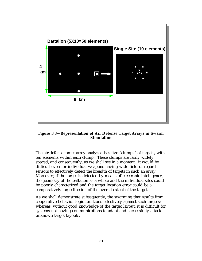

**Figure 3.8—Representation of Air Defense Target Arrays in Swarm Simulation**

The air defense target array analyzed has five "clumps" of targets, with ten elements within each clump. These clumps are fairly widely spaced, and consequently, as we shall see in a moment, it would be difficult even for individual weapons having wide field of regard sensors to effectively detect the breadth of targets in such an array. Moreover, if the target is detected by means of electronic intelligence, the geometry of the battalion as a whole and the individual sites could be poorly characterized and the target location error could be a comparatively large fraction of the overall extent of the target.

As we shall demonstrate subsequently, the swarming that results from cooperative behavior logic functions effectively against such targets; whereas, without good knowledge of the target layout, it is difficult for systems not having communications to adapt and successfully attack unknown target layouts.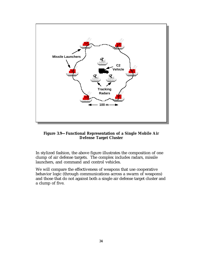

**Figure 3.9—Functional Representation of a Single Mobile Air Defense Target Cluster**

In stylized fashion, the above figure illustrates the composition of one clump of air defense targets. The complex includes radars, missile launchers, and command and control vehicles.

We will compare the effectiveness of weapons that use cooperative behavior logic (through communications across a swarm of weapons) and those that do not against both a single air defense target cluster and a clump of five.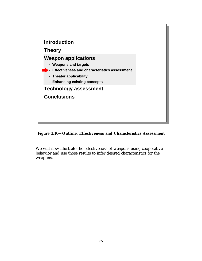

**Figure 3.10—Outline, Effectiveness and Characteristics Assessment**

We will now illustrate the effectiveness of weapons using cooperative behavior and use those results to infer desired characteristics for the weapons.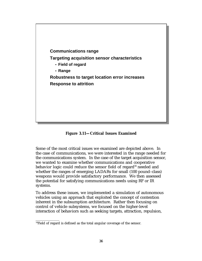

**Figure 3.11—Critical Issues Examined**

Some of the most critical issues we examined are depicted above. In the case of communications, we were interested in the range needed for the communications system. In the case of the target acquisition sensor, we wanted to examine whether communications and cooperative behavior logic could reduce the sensor field of regard<sup>14</sup> needed and whether the ranges of emerging LADARs for small (100 pound–class) weapons would provide satisfactory performance. We then assessed the potential for satisfying communications needs using RF or IR systems.

To address these issues, we implemented a simulation of autonomous vehicles using an approach that exploited the concept of contention inherent in the subsumption architecture. Rather then focusing on control of vehicle subsystems, we focused on the higher-level interaction of behaviors such as seeking targets, attraction, repulsion,

 $14$ Field of regard is defined as the total angular coverage of the sensor.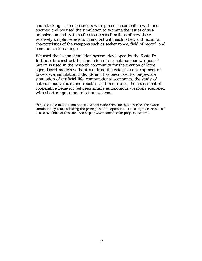and attacking. These behaviors were placed in contention with one another, and we used the simulation to examine the issues of selforganization and system effectiveness as functions of how these relatively simple behaviors interacted with each other, and technical characteristics of the weapons such as seeker range, field of regard, and communications range.

We used the *Swarm* simulation system, developed by the Santa Fe Institute, to construct the simulation of our autonomous weapons. $15$ *Swarm* is used in the research community for the creation of large agent-based models without requiring the extensive development of lower-level simulation code. *Swarm* has been used for large-scale simulation of artificial life, computational economics, the study of autonomous vehicles and robotics, and in our case, the assessment of cooperative behavior between simple autonomous weapons equipped with short-range communication systems.

 $\overline{\phantom{a}}$  , where  $\overline{\phantom{a}}$ 

<sup>15</sup>The Santa Fe Institute maintains a World Wide Web site that describes the *Swarm* simulation system, including the principles of its operation. The computer code itself is also available at this site. See http://www.santafe.edu/projects/swarm/.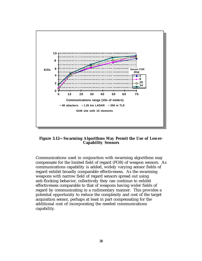

**Figure 3.12—Swarming Algorithms May Permit the Use of Lower-Capability Sensors**

Communications used in conjunction with swarming algorithms may compensate for the limited field of regard (FOR) of weapon sensors. As communications capability is added, widely varying sensor fields of regard exhibit broadly comparable effectiveness. As the swarming weapons with narrow field of regard sensors spread out using anti-flocking behavior, collectively they can continue to exhibit effectiveness comparable to that of weapons having wider fields of regard by communicating in a rudimentary manner. This provides a potential opportunity to reduce the complexity and cost of the target acquisition sensor, perhaps at least in part compensating for the additional cost of incorporating the needed communications capability.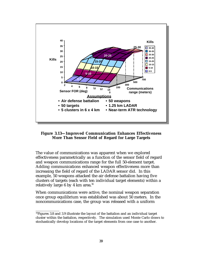

**Figure 3.13—Improved Communication Enhances Effectiveness More Than Sensor Field of Regard for Large Targets**

The value of communications was apparent when we explored effectiveness parametrically as a function of the sensor field of regard and weapon communications range for the full 50-element target. Adding communications enhanced weapon effectiveness more than increasing the field of regard of the LADAR sensor did. In this example, 50 weapons attacked the air defense battalion having five clusters of targets (each with ten individual target elements) within a relatively large 6 by 4 km area.<sup>16</sup>

When communications were active, the nominal weapon separation once group equilibrium was established was about 50 meters. In the noncommunications case, the group was released with a uniform

<sup>&</sup>lt;sup>16</sup>Figures 3.8 and 3.9 illustrate the layout of the battalion and an individual target cluster within the battalion, respectively. The simulation used Monte Carlo draws to stochastically develop locations of the target elements from one case to another.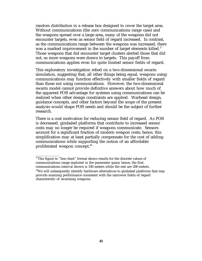random distribution in a release box designed to cover the target area. Without communications (the zero communications range case) and the weapons spread over a large area, many of the weapons did not encounter targets, even as sensor field of regard increased. In contrast, as the communications range between the weapons was increased, there was a marked improvement in the number of target elements killed.<sup>17</sup> Those weapons that did encounter target clusters alerted those that did not, so more weapons were drawn to targets. This payoff from communications applies even for quite limited sensor fields of regard.

This exploratory investigation relied on a two-dimensional swarm simulation, suggesting that, all other things being equal, weapons using communications may function effectively with smaller fields of regard than those not using communications. However, the two-dimensional swarm model cannot provide definitive answers about how much of the apparent FOR advantage for systems using communications can be realized when other design constraints are applied. Warhead design, guidance concepts, and other factors beyond the scope of the present analysis would shape FOR needs and should be the subject of further research.

There is a cost motivation for reducing sensor field of regard. As FOR is decreased, gimbaled platforms that contribute to increased sensor costs may no longer be required if weapons communicate. Sensors account for a significant fraction of modern weapon costs; hence, this simplification may at least partially compensate for the cost of adding communications while supporting the notion of an affordable proliferated weapon concept.<sup>18</sup>

<sup>&</sup>lt;sup>17</sup>This figure in "line chart" format shows results for the discrete values of communications range explored in the parameter space; hence, the first communications interval shown is 100 meters while the rest are 200 meters.  $18$ We will subsequently identify hardware alternatives to gimbaled platforms that may provide scanning performance consistent with the narrower fields of regard characteristic of swarming weapons.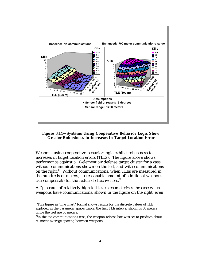

**Figure 3.14—Systems Using Cooperative Behavior Logic Show Greater Robustness to Increases in Target Location Error**

Weapons using cooperative behavior logic exhibit robustness to increases in target location errors (TLEs). The figure above shows performance against a 10-element air defense target cluster for a case without communications shown on the left, and with communications on the right.19 Without communications, when TLEs are measured in the hundreds of meters, no reasonable amount of additional weapons can compensate for the reduced effectiveness.<sup>20</sup>

A "plateau" of relatively high kill levels characterizes the case when weapons have communications, shown in the figure on the right, even

 $19$ This figure in "line chart" format shows results for the discrete values of TLE explored in the parameter space; hence, the first TLE interval shown is 30 meters while the rest are 50 meters.

<sup>&</sup>lt;sup>20</sup>In this no communications case, the weapon release box was set to produce about 50-meter average spacing between weapons.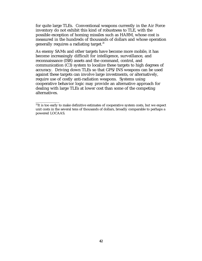for quite large TLEs. Conventional weapons currently in the Air Force inventory do not exhibit this kind of robustness to TLE, with the possible exception of homing missiles such as HARM, whose cost is measured in the hundreds of thousands of dollars and whose operation generally requires a radiating target.<sup>21</sup>

As enemy SAMs and other targets have become more mobile, it has become increasingly difficult for intelligence, surveillance, and reconnaissance (ISR) assets and the command, control, and communication (C3) system to localize these targets to high degrees of accuracy. Driving down TLEs so that GPS/INS weapons can be used against these targets can involve large investments, or alternatively, require use of costly anti-radiation weapons. Systems using cooperative behavior logic may provide an alternative approach for dealing with large TLEs at lower cost than some of the competing alternatives.

<sup>&</sup>lt;sup>21</sup>It is too early to make definitive estimates of cooperative system costs, but we expect unit costs in the several tens of thousands of dollars, broadly comparable to perhaps a powered LOCAAS.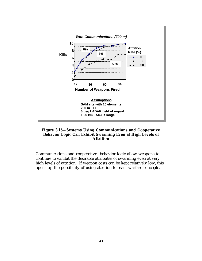

#### **Figure 3.15—Systems Using Communications and Cooperative Behavior Logic Can Exhibit Swarming Even at High Levels of Attrition**

Communications and cooperative behavior logic allow weapons to continue to exhibit the desirable attributes of swarming even at very high levels of attrition. If weapon costs can be kept relatively low, this opens up the possibility of using attrition-tolerant warfare concepts.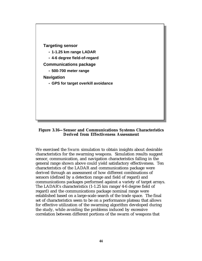

#### **Figure 3.16—Sensor and Communications Systems Characteristics Derived from Effectiveness Assessment**

We exercised the *Swarm* simulation to obtain insights about desirable characteristics for the swarming weapons. Simulation results suggest sensor, communication, and navigation characteristics falling in the general range shown above could yield satisfactory effectiveness. Ten characteristics of the LADAR and communications package were derived through an assessment of how different combinations of sensors (defined by a detection range and field of regard) and communications packages performed against a variety of target arrays. The LADAR's characteristics (1-1.25 km range/4-6 degree field of regard) and the communications package nominal range were established based on a large-scale search of the trade space. The final set of characteristics seem to be on a performance plateau that allows for effective utilization of the swarming algorithm developed during the study, while avoiding the problems induced by excessive correlation between different portions of the swarm of weapons that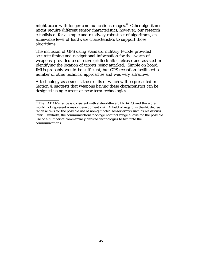might occur with longer communications ranges. $22$  Other algorithms might require different sensor characteristics; however, our research established, for a simple and relatively robust set of algorithms, an achievable level of hardware characteristics to support those algorithms.

The inclusion of GPS using standard military P-code provided accurate timing and navigational information for the swarm of weapons, provided a collective gridlock after release, and assisted in identifying the location of targets being attacked. Simple on board IMUs probably would be sufficient, but GPS reception facilitated a number of other technical approaches and was very attractive.

A technology assessment, the results of which will be presented in Section 4, suggests that weapons having these characteristics can be designed using current or near-term technologies.

<sup>&</sup>lt;sup>22</sup> The LADAR's range is consistent with state-of-the art LADARS, and therefore would not represent a major development risk. A field of regard in the 4-6 degree range allows for the possible use of non-gimbaled sensor arrays such as we discuss later. Similarly, the communications package nominal range allows for the possible use of a number of commercially derived technologies to facilitate the communications.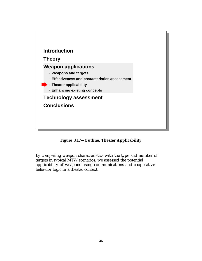

**Figure 3.17—Outline, Theater Applicability**

By comparing weapon characteristics with the type and number of targets in typical MTW scenarios, we assessed the potential applicability of weapons using communications and cooperative behavior logic in a theater context.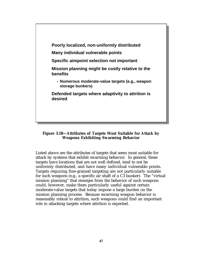

## **Figure 3.18—Attributes of Targets Most Suitable for Attack by Weapons Exhibiting Swarming Behavior**

Listed above are the attributes of targets that seem most suitable for attack by systems that exhibit swarming behavior. In general, these targets have locations that are not well defined, tend to not be uniformly distributed, and have many individual vulnerable points. Targets requiring fine-grained targeting are not particularly suitable for such weapons (e.g., a specific air shaft of a C3 bunker). The "virtual mission planning" that emerges from the behavior of such weapons could, however, make them particularly useful against certain moderate-value targets that today impose a large burden on the mission planning process. Because swarming weapon behavior is reasonably robust to attrition, such weapons could find an important role in attacking targets where attrition is expected.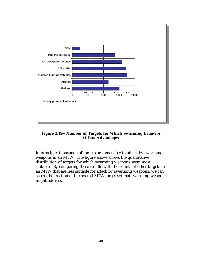

**Figure 3.19—Number of Targets for Which Swarming Behavior Offers Advantages**

In principle, thousands of targets are amenable to attack by swarming weapons in an MTW. The figure above shows the quantitative distribution of targets for which swarming weapons seem most suitable. By comparing these results with the counts of other targets in an MTW that are less suitable for attack by swarming weapons, we can assess the fraction of the overall MTW target set that swarming weapons might address.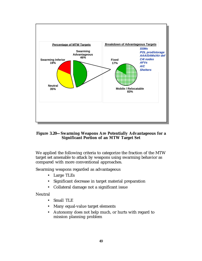

## **Figure 3.20—Swarming Weapons Are Potentially Advantageous for a Significant Portion of an MTW Target Set**

We applied the following criteria to categorize the fraction of the MTW target set amenable to attack by weapons using swarming behavior as compared with more conventional approaches.

Swarming weapons regarded as advantageous

- Large TLEs
- Significant decrease in target material preparation
- Collateral damage not a significant issue

Neutral

- Small TLE
- Many equal-value target elements
- Autonomy does not help much, or hurts with regard to mission planning problem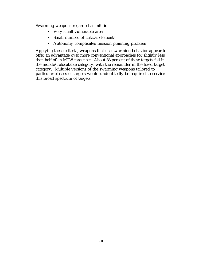Swarming weapons regarded as inferior

- Very small vulnerable area
- Small number of critical elements
- Autonomy complicates mission planning problem

Applying these criteria, weapons that use swarming behavior appear to offer an advantage over more conventional approaches for slightly less than half of an MTW target set. About 83 percent of these targets fall in the mobile/relocatable category, with the remainder in the fixed target category. Multiple versions of the swarming weapons tailored to particular classes of targets would undoubtedly be required to service this broad spectrum of targets.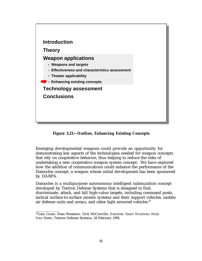

**Figure 3.21—Outline, Enhancing Existing Concepts**

Emerging developmental weapons could provide an opportunity for demonstrating key aspects of the technologies needed for weapon concepts that rely on cooperative behavior, thus helping to reduce the risks of undertaking a new cooperative weapon system concept. We have explored how the addition of communications could enhance the performance of the Damocles concept, a weapon whose initial development has been sponsored by DARPA.

Damocles is a multipurpose autonomous intelligent submunition concept developed by Textron Defense Systems that is designed to find, discriminate, attack, and kill high-value targets, including command posts, tactical surface-to-surface missile systems and their support vehicles, mobile air defense units and arrays, and other light armored vehicles.<sup>23</sup>

<sup>23</sup>Gary Grant, Dean Risseeuw, Dick McConville, *Damocles, Smart Munitions Study Data Sheets*, Textron Defense Systems, 24 February 1995.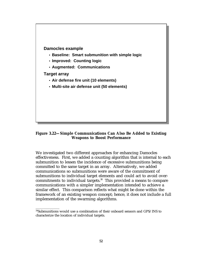

## **Figure 3.22—Simple Communications Can Also Be Added to Existing Weapons to Boost Performance**

We investigated two different approaches for enhancing Damocles effectiveness. First, we added a counting algorithm that is internal to each submunition to lessen the incidence of excessive submunitions being committed to the same target in an array. Alternatively, we added communications so submunitions were aware of the commitment of submunitions to individual target elements and could act to avoid overcommitments to individual targets. $24$  This provided a means to compare communications with a simpler implementation intended to achieve a similar effect. This comparison reflects what might be done within the framework of an existing weapon concept; hence, it does not include a full implementation of the swarming algorithms.

<sup>&</sup>lt;sup>24</sup>Submunitions would use a combination of their onboard sensors and GPS/INS to characterize the location of individual targets.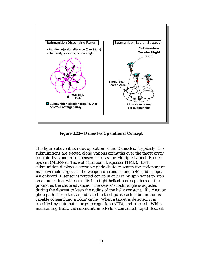

**Figure 3.23—Damocles Operational Concept**

The figure above illustrates operation of the Damocles. Typically, the submunitions are ejected along various azimuths over the target array centroid by standard dispensers such as the Multiple Launch Rocket System (MLRS) or Tactical Munitions Dispenser (TMD). Each submunition deploys a steerable glide chute to search for stationary or maneuverable targets as the weapon descends along a 4:1 glide slope. An onboard IR sensor is rotated conically at 3 Hz by spin vanes to scan an annular ring, which results in a tight helical search pattern on the ground as the chute advances. The sensor's nadir angle is adjusted during the descent to keep the radius of the helix constant. If a circular glide path is selected, as indicated in the figure, each submunition is capable of searching a  $1-km^2$  circle. When a target is detected, it is classified by automatic target recognition (ATR), and tracked. While maintaining track, the submunition effects a controlled, rapid descent.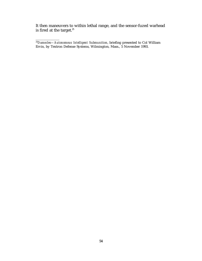It then maneuvers to within lethal range, and the sensor-fuzed warhead is fired at the target. $^{25}$ 

<sup>25</sup>*Damocles—Autonomous Intelligent Submunition*, briefing presented to Col William Ervin, by Textron Defense Systems, Wilmington, Mass., 5 November 1993.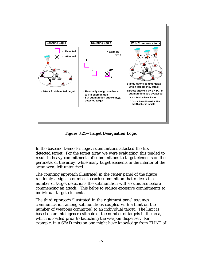

**Figure 3.24—Target Designation Logic**

In the baseline Damocles logic, submunitions attacked the first detected target. For the target array we were evaluating, this tended to result in heavy commitments of submunitions to target elements on the perimeter of the array, while many target elements in the interior of the array were left untouched.

The counting approach illustrated in the center panel of the figure randomly assigns a number to each submunition that reflects the number of target detections the submunition will accumulate before commencing an attack. This helps to reduce excessive commitments to individual target elements.

The third approach illustrated in the rightmost panel assumes communication among submunitions coupled with a limit on the number of weapons committed to an individual target. The limit is based on an intelligence estimate of the number of targets in the area, which is loaded prior to launching the weapon dispenser. For example, in a SEAD mission one might have knowledge from ELINT of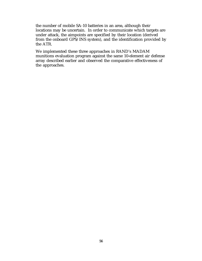the number of mobile SA-10 batteries in an area, although their locations may be uncertain. In order to communicate which targets are under attack, the aimpoints are specified by their location (derived from the onboard GPS/INS system), and the identification provided by the ATR.

We implemented these three approaches in RAND's MADAM munitions evaluation program against the same 10-element air defense array described earlier and observed the comparative effectiveness of the approaches.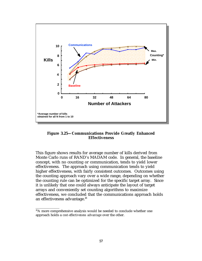

**Figure 3.25—Communications Provide Greatly Enhanced Effectiveness**

This figure shows results for average number of kills derived from Monte Carlo runs of RAND's MADAM code. In general, the baseline concept, with no counting or communication, tends to yield lower effectiveness. The approach using communication tends to yield higher effectiveness, with fairly consistent outcomes. Outcomes using the counting approach vary over a wide range, depending on whether the counting rule can be optimized for the specific target array. Since it is unlikely that one could always anticipate the layout of target arrays and conveniently set counting algorithms to maximize effectiveness, we concluded that the communications approach holds an effectiveness advantage.<sup>26</sup>

<sup>&</sup>lt;sup>26</sup>A more comprehensive analysis would be needed to conclude whether one approach holds a *cost-effectiveness advantage* over the other.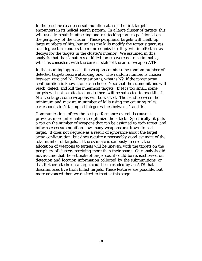In the baseline case, each submunition attacks the first target it encounters in its helical search pattern. In a large cluster of targets, this will usually result in attacking and reattacking targets positioned on the periphery of the cluster. These peripheral targets will chalk up large numbers of hits, but unless the kills modify the target signatures to a degree that renders them unrecognizable, they will in effect act as decoys for the targets in the cluster's interior. We assumed in this analysis that the signatures of killed targets were not discriminable, which is consistent with the current state of the art of weapon ATR.

In the counting approach, the weapon counts some random number of detected targets before attacking one. The random number is chosen between zero and N. The question is, what is N? If the target array configuration is known, one can choose N so that the submunitions will reach, detect, and kill the innermost targets. If N is too small, some targets will not be attacked, and others will be subjected to overkill. If N is too large, some weapons will be wasted. The band between the minimum and maximum number of kills using the counting rules corresponds to N taking all integer values between 1 and 10.

Communications offers the best performance overall because it provides more information to optimize the attack. Specifically, it puts a cap on the number of weapons that can be assigned to each target, and informs each submunition how many weapons are drawn to each target. It does not degrade as a result of ignorance about the target array configuration, but does require a reasonably good estimate of the total number of targets. If the estimate is seriously in error, the allocation of weapons to targets will be uneven, with the targets on the periphery of clusters receiving more than their share. Our analysis did not assume that the estimate of target count could be revised based on detection and location information collected by the submunitions, or that further attacks on a target could be curtailed by an ATR that discriminates live from killed targets. These features are possible, but more advanced than we desired to treat at this stage.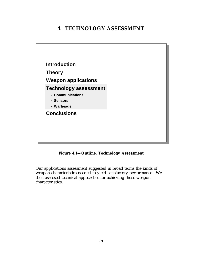# **4. TECHNOLOGY ASSESSMENT**



**Figure 4.1—Outline, Technology Assessment**

Our applications assessment suggested in broad terms the kinds of weapon characteristics needed to yield satisfactory performance. We then assessed technical approaches for achieving those weapon characteristics.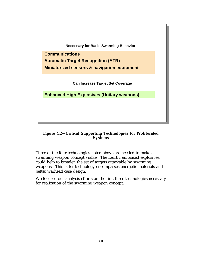

#### **Figure 4.2—Critical Supporting Technologies for Proliferated Systems**

Three of the four technologies noted above are needed to make a swarming weapon concept viable. The fourth, enhanced explosives, could help to broaden the set of targets attackable by swarming weapons. This latter technology encompasses energetic materials and better warhead case design.

We focused our analysis efforts on the first three technologies necessary for realization of the swarming weapon concept.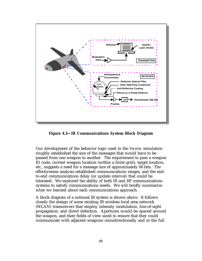

**Figure 4.3—IR Communications System Block Diagram**

Our development of the behavior logic used in the *Swarm* simulation roughly established the size of the messages that would have to be passed from one weapon to another. The requirement to pass a weapon ID code, current weapon location (within a finite grid), target location, etc., suggests a need for a message size of approximately 60 bits. The effectiveness analysis established communications ranges, and the endto-end communications delay (or update interval) that could be tolerated. We explored the ability of both IR and RF communications systems to satisfy communications needs. We will briefly summarize what we learned about each communications approach.

A block diagram of a notional IR system is shown above. It follows closely the design of some existing IR wireless local area network (WLAN) transceivers that employ intensity modulation, line-of-sight propagation, and direct detection. Apertures would be spaced around the weapon, and their fields of view sized to ensure that they could communicate with adjacent weapons omnidirectionally and in the full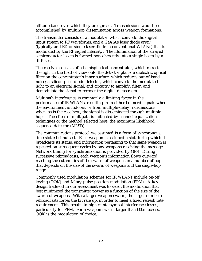altitude band over which they are spread. Transmissions would be accomplished by multihop dissemination across weapon formations.

The transmitter consists of a modulator, which converts the digital input stream to RF waveforms, and a GaAlAs laser diode array (typically an LED or single laser diode in conventional WLANs) that is modulated by the RF signal intensity. The illumination of the arrayed semiconductor lasers is formed noncoherently into a single beam by a diffuser.

The receiver consists of a hemispherical concentrator, which refracts the light in the field of view onto the detector plane; a dielectric optical filter on the concentrator's inner surface, which reduces out-of-band noise; a silicon p-i-n diode detector, which converts the modulated light to an electrical signal; and circuitry to amplify, filter, and demodulate the signal to recover the digital datastream.

Multipath interference is commonly a limiting factor in the performance of IR WLANs, resulting from either bounced signals when the environment is indoors, or from multiple-delay transmissions when, as is the case here, the signal is disseminated through multiple hops. The effect of multipath is mitigated by channel equalization techniques or the method selected here, the maximum likelihood sequence detector (MLSD).

The communications protocol we assumed is a form of synchronous, time-slotted simulcast. Each weapon is assigned a slot during which it broadcasts its status, and information pertaining to that same weapon is repeated on subsequent cycles by any weapons receiving the message. Network timing for synchronization is provided by GPS. During successive rebroadcasts, each weapon's information flows outward, reaching the extremities of the swarm of weapons in a number of hops that depends on the size of the swarm of weapons and the single-hop range.

Commonly used modulation schemes for IR WLANs include on-off keying (OOK) and M-ary pulse position modulation (PPM). A key design trade-off in our assessment was to select the modulation that best minimized the transmitter power as a function of the size of the swarm of weapons. With a larger weapon swarm, the larger number of rebroadcasts forces the bit rate up, in order to meet a fixed refresh rate requirement. This results in higher intersymbol interference losses, particularly for PPM. For a weapon swarm larger than 600m across, OOK is the modulation of choice.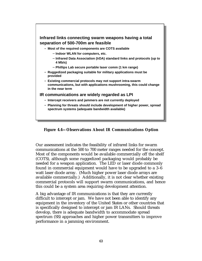

**Figure 4.4—Observations About IR Communications Option**

Our assessment indicates the feasibility of infrared links for swarm communications at the 500 to 700 meter ranges needed for the concept. Most of the components would be available commercially off the shelf (COTS), although some ruggedized packaging would probably be needed for a weapon application. The LED or laser diode commonly found in commercial equipment would have to be upgraded to a 3–6 watt laser diode array. (Much higher power laser diode arrays are available commercially.) Additionally, it is not clear whether existing commercial protocols will support swarm communications, and hence this could be a system area requiring development attention.

A big advantage of IR communications is that they are currently difficult to intercept or jam. We have not been able to identify any equipment in the inventory of the United States or other countries that is specifically designed to intercept or jam IR LANs. Should threats develop, there is adequate bandwidth to accommodate spread spectrum (SS) approaches and higher power transmitters to improve performance in a jamming environment.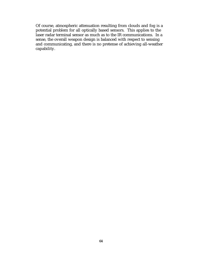Of course, atmospheric attenuation resulting from clouds and fog is a potential problem for all optically based sensors. This applies to the laser radar terminal sensor as much as to the IR communications. In a sense, the overall weapon design is balanced with respect to sensing and communicating, and there is no pretense of achieving all-weather capability.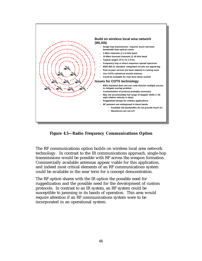

**Figure 4.5—Radio Frequency Communications Option**

The RF communications option builds on wireless local area network technology. In contrast to the IR communications approach, single-hop transmissions would be possible with RF across the weapon formation. Commercially available antennas appear viable for this application, and indeed most critical elements of an RF communications system could be available in the near term for a concept demonstration.

The RF option shares with the IR option the possible need for ruggedization and the possible need for the development of custom protocols. In contrast to an IR system, an RF system could be susceptible to jamming in its bands of operation. This area would require attention if an RF communications system were to be incorporated in an operational system.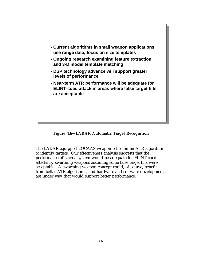

**Figure 4.6—LADAR Automatic Target Recognition**

The LADAR-equipped LOCAAS weapon relies on an ATR algorithm to identify targets. Our effectiveness analysis suggests that the performance of such a system would be adequate for ELINT-cued attacks by swarming weapons assuming some false target hits were acceptable. A swarming weapon concept could, of course, benefit from better ATR algorithms, and hardware and software developments are under way that would support better performance.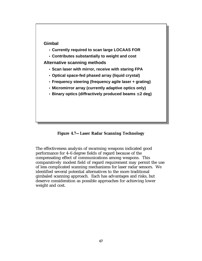

**Figure 4.7—Laser Radar Scanning Technology**

The effectiveness analysis of swarming weapons indicated good performance for 4–6 degree fields of regard because of the compensating effect of communications among weapons. This comparatively modest field of regard requirement may permit the use of less complicated scanning mechanisms for laser radar sensors. We identified several potential alternatives to the more traditional gimbaled scanning approach. Each has advantages and risks, but deserve consideration as possible approaches for achieving lower weight and cost.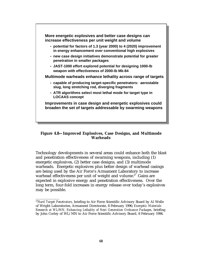

#### **Figure 4.8—Improved Explosives, Case Designs, and Multimode Warheads**

Technology developments in several areas could enhance both the blast and penetration effectiveness of swarming weapons, including (1) energetic explosives, (2) better case designs, and (3) multimode warheads. Energetic explosives plus better design of warhead casings are being used by the Air Force's Armament Laboratory to increase warhead effectiveness per unit of weight and volume.<sup>27</sup> Gains are expected in explosive energy and penetration effectiveness. Over the long term, four-fold increases in energy release over today's explosives may be possible.

\_\_\_\_\_\_\_\_\_\_\_\_

<sup>27</sup>*Hard Target Penetrators*, briefing to Air Force Scientific Advisory Board by Al Welle of Wright Laboratories, Armament Directorate, 8 February 1996; *Energetic Materials Research at WL/MN, Enhancing Lethality of Next Generation Ordnance Packages*, briefing by John Corley of WL/MN to Air Force Scientific Advisory Board, 8 February 1996.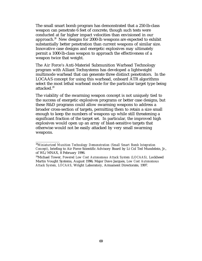The small smart bomb program has demonstrated that a 250-lb-class weapon can penetrate 6 feet of concrete, though such tests were conducted at far higher impact velocities than envisioned in our approach.<sup>28</sup> New designs for 2000-lb weapons are expected to exhibit substantially better penetration than current weapons of similar size. Innovative case designs and energetic explosives may ultimately permit a 1000-lb-class weapon to approach the effectiveness of a weapon twice that weight.

The Air Force's Anti-Materiel Submunition Warhead Technology program with Alliant Techsystems has developed a lightweight multimode warhead that can generate three distinct penetrators. In the LOCAAS concept for using this warhead, onboard ATR algorithms select the most lethal warhead mode for the particular target type being attacked.<sup>29</sup>

The viability of the swarming weapon concept is not uniquely tied to the success of energetic explosives programs or better case designs, but these R&D programs could allow swarming weapons to address a broader cross-section of targets, permitting them to retain a size small enough to keep the numbers of weapons up while still threatening a significant fraction of the target set. In particular, the improved high explosives would open up an array of blast-sensitive targets that otherwise would not be easily attacked by very small swarming weapons.

\_\_\_\_\_\_\_\_\_\_\_\_

<sup>28</sup>*Miniaturized Munition Technology Demonstration (Small Smart Bomb Integration Concept)*, briefing to Air Force Scientific Advisory Board by Lt Col Ted Mundelein, Jr., of WL/MNAX, 8 February 1996.

<sup>29</sup>Michael Tower, *Powered Low Cost Autonomous Attack System (LOCAAS),* Lockheed Martin Vought Systems, August 1996; Major Dave Jacques, *Low Cost Autonomous Attack System, LOCAAS*, Wright Laboratory, Armament Directorate, 1997.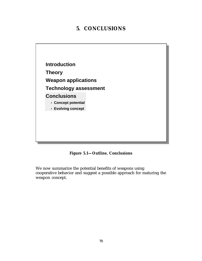# **5. CONCLUSIONS**



**Figure 5.1—Outline, Conclusions**

We now summarize the potential benefits of weapons using cooperative behavior and suggest a possible approach for maturing the weapon concept.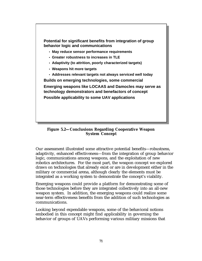

**Figure 5.2—Conclusions Regarding Cooperative Weapon System Concept**

Our assessment illustrated some attractive potential benefits—robustness, adaptivity, enhanced effectiveness—from the integration of group behavior logic, communications among weapons, and the exploitation of new robotics architectures. For the most part, the weapon concept we explored draws on technologies that already exist or are in development either in the military or commercial arena, although clearly the elements must be integrated as a working system to demonstrate the concept's viability.

Emerging weapons could provide a platform for demonstrating some of those technologies before they are integrated collectively into an all-new weapon system. In addition, the emerging weapons could realize some near-term effectiveness benefits from the addition of such technologies as communications.

Looking beyond expendable weapons, some of the behavioral notions embodied in this concept might find applicability in governing the behavior of groups of UAVs performing various military missions that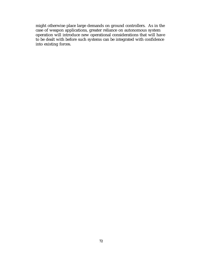might otherwise place large demands on ground controllers. As in the case of weapon applications, greater reliance on autonomous system operation will introduce new operational considerations that will have to be dealt with before such systems can be integrated with confidence into existing forces.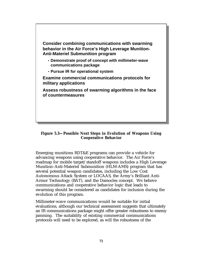

#### **Figure 5.3—Possible Next Steps in Evolution of Weapons Using Cooperative Behavior**

Emerging munitions RDT&E programs can provide a vehicle for advancing weapons using cooperative behavior. The Air Force's roadmap for mobile target/standoff weapons includes a High Leverage Munition–Anti-Materiel Submunition (HLM-AMS) program that has several potential weapon candidates, including the Low Cost Autonomous Attack System or LOCAAS, the Army's Brilliant Anti-Armor Technology (BAT), and the Damocles concept. We believe communications and cooperative behavior logic that leads to swarming should be considered as candidates for inclusion during the evolution of this program.

Millimeter-wave communications would be suitable for initial evaluations, although our technical assessment suggests that ultimately an IR communications package might offer greater robustness to enemy jamming. The suitability of existing commercial communications protocols will need to be explored, as will the robustness of the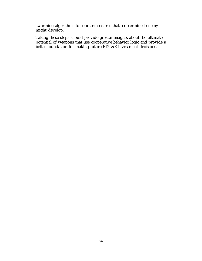swarming algorithms to countermeasures that a determined enemy might develop.

Taking these steps should provide greater insights about the ultimate potential of weapons that use cooperative behavior logic and provide a better foundation for making future RDT&E investment decisions.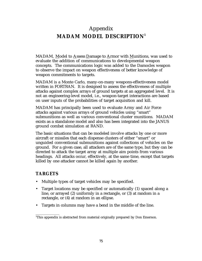# Appendix **MADAM MODEL DESCRIPTION<sup>1</sup>**

MADAM, Model to Assess Damage to Armor with Munitions, was used to evaluate the addition of communications to developmental weapon concepts. The communications logic was added to the Damocles weapon to observe the impact on weapon effectiveness of better knowledge of weapon commitments to targets.

MADAM is a Monte Carlo, many-on-many weapons-effectiveness model written in FORTRAN. It is designed to assess the effectiveness of multiple attacks against complex arrays of ground targets at an aggregated level. It is not an engineering-level model, i.e., weapon-target interactions are based on user inputs of the probabilities of target acquisition and kill.

MADAM has principally been used to evaluate Army and Air Force attacks against various arrays of ground vehicles using "smart" submunitions as well as various conventional cluster munitions. MADAM exists as a standalone model and also has been integrated into the JANUS ground combat simulation at RAND.

The basic situations that can be modeled involve attacks by one or more aircraft or missiles that each dispense clusters of either "smart" or unguided conventional submunitions against collections of vehicles on the ground. For a given case, all attackers are of the same type, but they can be directed to attack the target array at multiple aim points from various headings. All attacks occur, effectively, at the same time, except that targets killed by one attacker cannot be killed again by another.

## **TARGETS**

\_\_\_\_\_\_\_\_\_\_\_\_

- Multiple types of target vehicles may be specified.
- Target locations may be specified or automatically (1) spaced along a line, or arrayed (2) uniformly in a rectangle, or (3) at random in a rectangle, or (4) at random in an ellipse.
- Targets in columns may have a bend in the middle of the line.

<sup>&</sup>lt;sup>1</sup>This appendix is abstracted from material originally prepared by Don Emerson.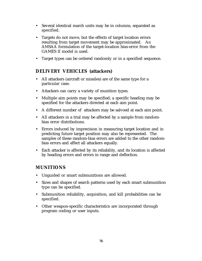- Several identical march units may be in columns, separated as specified.
- Targets do not move, but the effects of target location errors resulting from target movement may be approximated. An AMSAA formulation of the target-location bias-error from the GAMES II model is used.
- Target types can be ordered randomly or in a specified sequence.

## **DELIVERY VEHICLES (attackers)**

- All attackers (aircraft or missiles) are of the same type for a particular case.
- Attackers can carry a variety of munition types.
- Multiple aim points may be specified; a specific heading may be specified for the attackers directed at each aim point.
- A different number of attackers may be salvoed at each aim point.
- All attackers in a trial may be affected by a sample from randombias error distributions.
- Errors induced by imprecision in measuring target location and in predicting future target position may also be represented. The samples of these random-bias errors are added to the other randombias errors and affect all attackers equally.
- Each attacker is affected by its reliability, and its location is affected by heading errors and errors in range and deflection.

### **MUNITIONS**

- Unguided or smart submunitions are allowed.
- Sizes and shapes of search patterns used by each smart submunition type can be specified.
- Submunition reliability, acquisition, and kill probabilities can be specified.
- Other weapon-specific characteristics are incorporated through program coding or user inputs.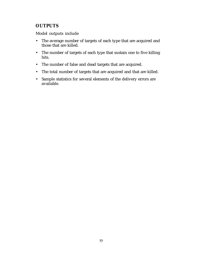## **OUTPUTS**

Model outputs include

- The average number of targets of each type that are acquired and those that are killed.
- The number of targets of each type that sustain one to five killing hits.
- The number of false and dead targets that are acquired.
- The total number of targets that are acquired and that are killed.
- Sample statistics for several elements of the delivery errors are available.